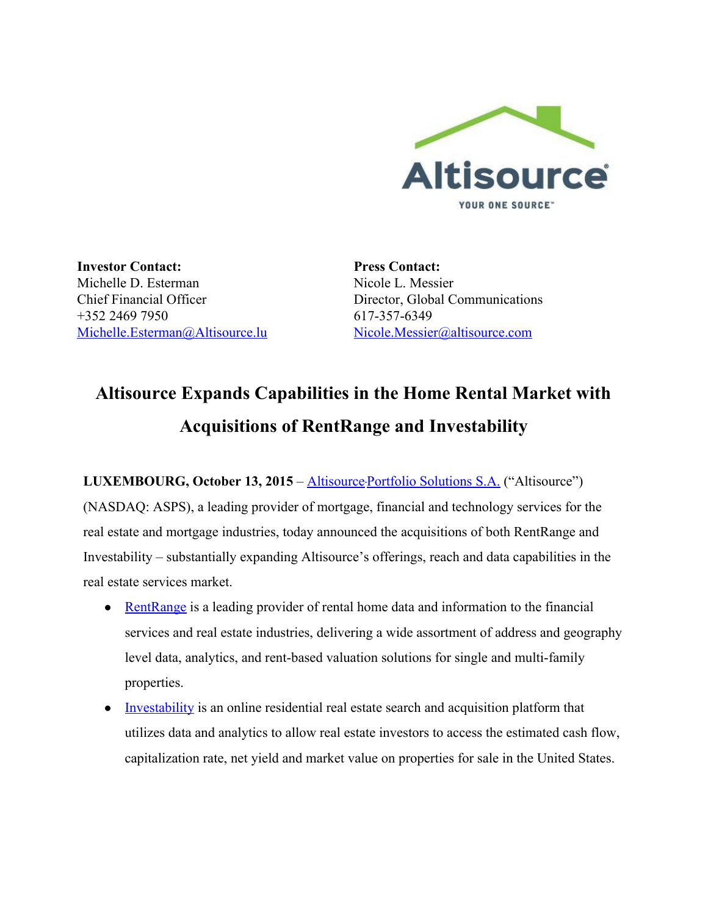

**Investor Contact:** Michelle D. Esterman Chief Financial Officer +352 2469 7950 [Michelle.Esterman@Altisource.lu](mailto:Michelle.Esterman@Altisource.lu)

**Press Contact:** Nicole L. Messier Director, Global Communications 617-357-6349 [Nicole.Messier@altisource.com](mailto:Nicole.Messier@altisource.com)

# **Altisource Expands Capabilities in the Home Rental Market with Acquisitions of RentRange and Investability**

**LUXEMBOURG, October 13, 2015**– [Altisource](http://www.altisource.com/?utm_campaign=rentrange&utm_source=PR) Portfolio [Solutions](http://www.altisource.com/?utm_campaign=rentrange&utm_source=PR) S.A. ("Altisource") (NASDAQ: ASPS), a leading provider of mortgage, financial and technology services for the real estate and mortgage industries, today announced the acquisitions of both RentRange and Investability – substantially expanding Altisource's offerings, reach and data capabilities in the real estate services market.

- [RentRange](http://www.rentrange.com/) is a leading provider of rental home data and information to the financial services and real estate industries, delivering a wide assortment of address and geography level data, analytics, and rent-based valuation solutions for single and multi-family properties.
- [Investability](http://www.investability.com/) is an online residential real estate search and acquisition platform that utilizes data and analytics to allow real estate investors to access the estimated cash flow, capitalization rate, net yield and market value on properties for sale in the United States.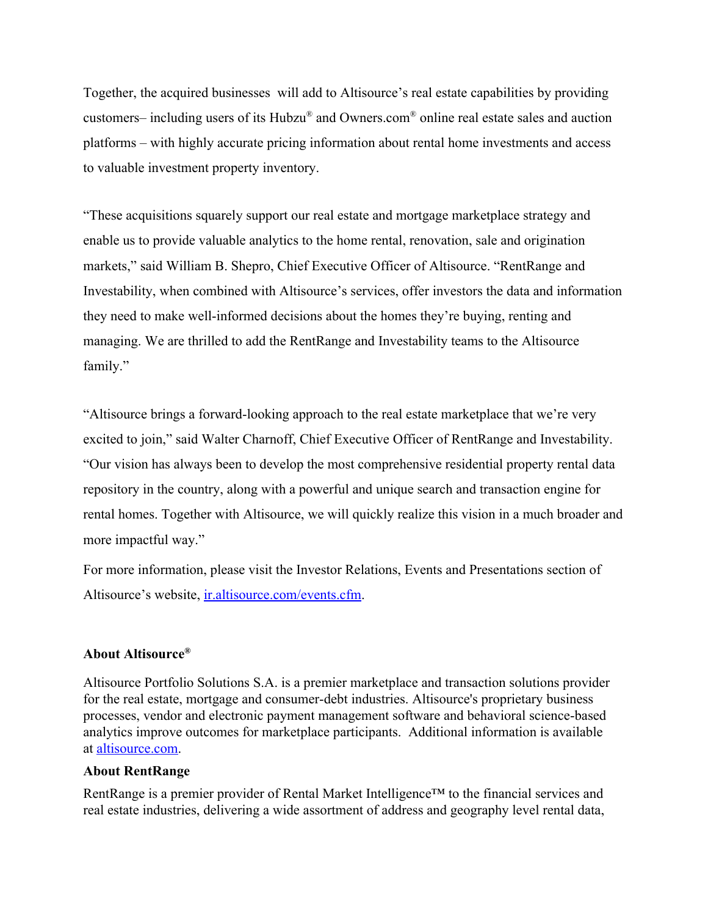Together, the acquired businesses will add to Altisource's real estate capabilities by providing customers– including users of its Hubzu ® and Owners.com® online real estate sales and auction platforms – with highly accurate pricing information about rental home investments and access to valuable investment property inventory.

"These acquisitions squarely support our real estate and mortgage marketplace strategy and enable us to provide valuable analytics to the home rental, renovation, sale and origination markets," said William B. Shepro, Chief Executive Officer of Altisource. "RentRange and Investability, when combined with Altisource's services, offer investors the data and information they need to make well-informed decisions about the homes they're buying, renting and managing. We are thrilled to add the RentRange and Investability teams to the Altisource family."

"Altisource brings a forward-looking approach to the real estate marketplace that we're very excited to join," said Walter Charnoff, Chief Executive Officer of RentRange and Investability. "Our vision has always been to develop the most comprehensive residential property rental data repository in the country, along with a powerful and unique search and transaction engine for rental homes. Together with Altisource, we will quickly realize this vision in a much broader and more impactful way."

For more information, please visit the Investor Relations, Events and Presentations section of Altisource's website, [ir.altisource.com/events.cfm.](http://ir.altisource.com/events.cfm)

### **About Altisource®**

Altisource Portfolio Solutions S.A. is a premier marketplace and transaction solutions provider for the real estate, mortgage and consumer-debt industries. Altisource's proprietary business processes, vendor and electronic payment management software and behavioral science-based analytics improve outcomes for marketplace participants. Additional information is available at [altisource.com.](http://www.altisource.com/?utm_campaign=RentRange&utm_source=PR&utm_medium=PR&utm_content=boilerplate_link)

### **About RentRange**

RentRange is a premier provider of Rental Market Intelligence™ to the financial services and real estate industries, delivering a wide assortment of address and geography level rental data,